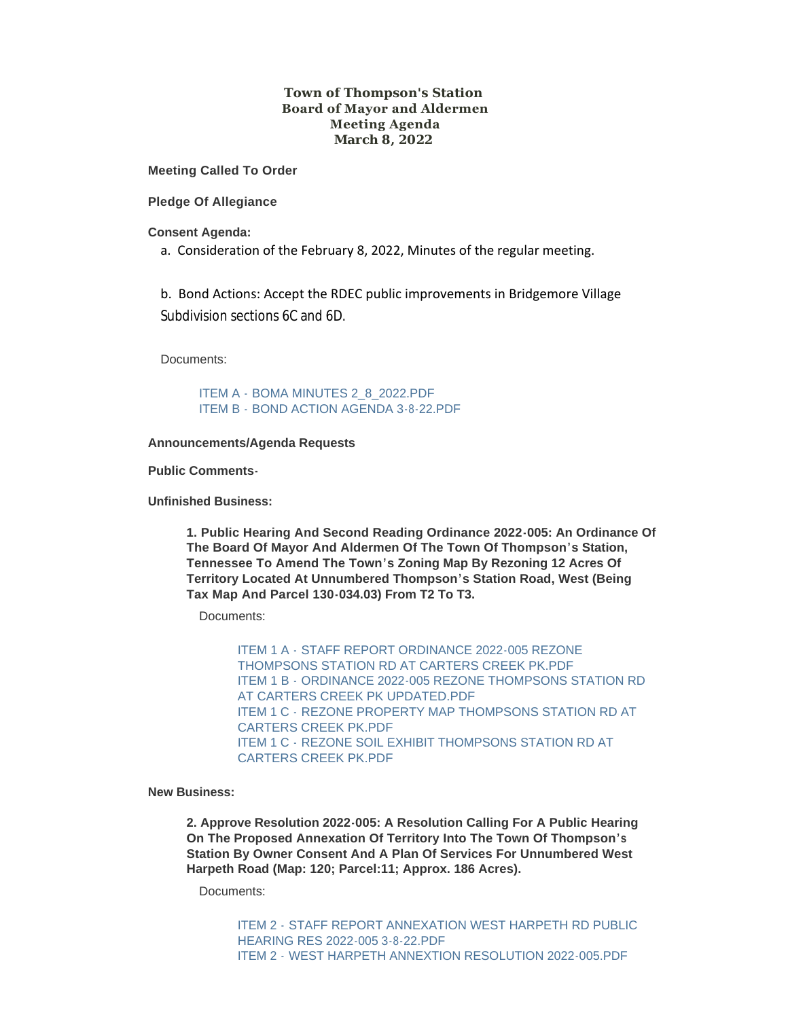# **Town of Thompson's Station Board of Mayor and Aldermen Meeting Agenda March 8, 2022**

**Meeting Called To Order**

**Pledge Of Allegiance**

**Consent Agenda:**

a. Consideration of the February 8, 2022, Minutes of the regular meeting.

b. Bond Actions: Accept the RDEC public improvements in Bridgemore Village Subdivision sections 6C and 6D.

Documents:

ITEM A - BOMA MINUTES 2 8 2022.PDF ITEM B - [BOND ACTION AGENDA 3-8-22.PDF](https://www.thompsons-station.com/AgendaCenter/ViewFile/Item/3678?fileID=15234)

#### **Announcements/Agenda Requests**

**Public Comments-**

**Unfinished Business:**

**1. Public Hearing And Second Reading Ordinance 2022-005: An Ordinance Of The Board Of Mayor And Aldermen Of The Town Of Thompson's Station, Tennessee To Amend The Town's Zoning Map By Rezoning 12 Acres Of Territory Located At Unnumbered Thompson's Station Road, West (Being Tax Map And Parcel 130-034.03) From T2 To T3.**

Documents:

ITEM 1 A - STAFF REPORT ORDINANCE 2022-005 REZONE [THOMPSONS STATION RD AT CARTERS CREEK PK.PDF](https://www.thompsons-station.com/AgendaCenter/ViewFile/Item/3679?fileID=15237) ITEM 1 B - [ORDINANCE 2022-005 REZONE THOMPSONS STATION RD](https://www.thompsons-station.com/AgendaCenter/ViewFile/Item/3679?fileID=15238)  AT CARTERS CREEK PK UPDATED.PDF ITEM 1 C - [REZONE PROPERTY MAP THOMPSONS STATION RD AT](https://www.thompsons-station.com/AgendaCenter/ViewFile/Item/3679?fileID=15239)  CARTERS CREEK PK.PDF ITEM 1 C - [REZONE SOIL EXHIBIT THOMPSONS STATION RD AT](https://www.thompsons-station.com/AgendaCenter/ViewFile/Item/3679?fileID=15236)  CARTERS CREEK PK.PDF

**New Business:**

**2. Approve Resolution 2022-005: A Resolution Calling For A Public Hearing On The Proposed Annexation Of Territory Into The Town Of Thompson's Station By Owner Consent And A Plan Of Services For Unnumbered West Harpeth Road (Map: 120; Parcel:11; Approx. 186 Acres).**

Documents:

ITEM 2 - [STAFF REPORT ANNEXATION WEST HARPETH RD PUBLIC](https://www.thompsons-station.com/AgendaCenter/ViewFile/Item/3680?fileID=15241)  HEARING RES 2022-005 3-8-22.PDF ITEM 2 - [WEST HARPETH ANNEXTION RESOLUTION 2022-005.PDF](https://www.thompsons-station.com/AgendaCenter/ViewFile/Item/3680?fileID=15240)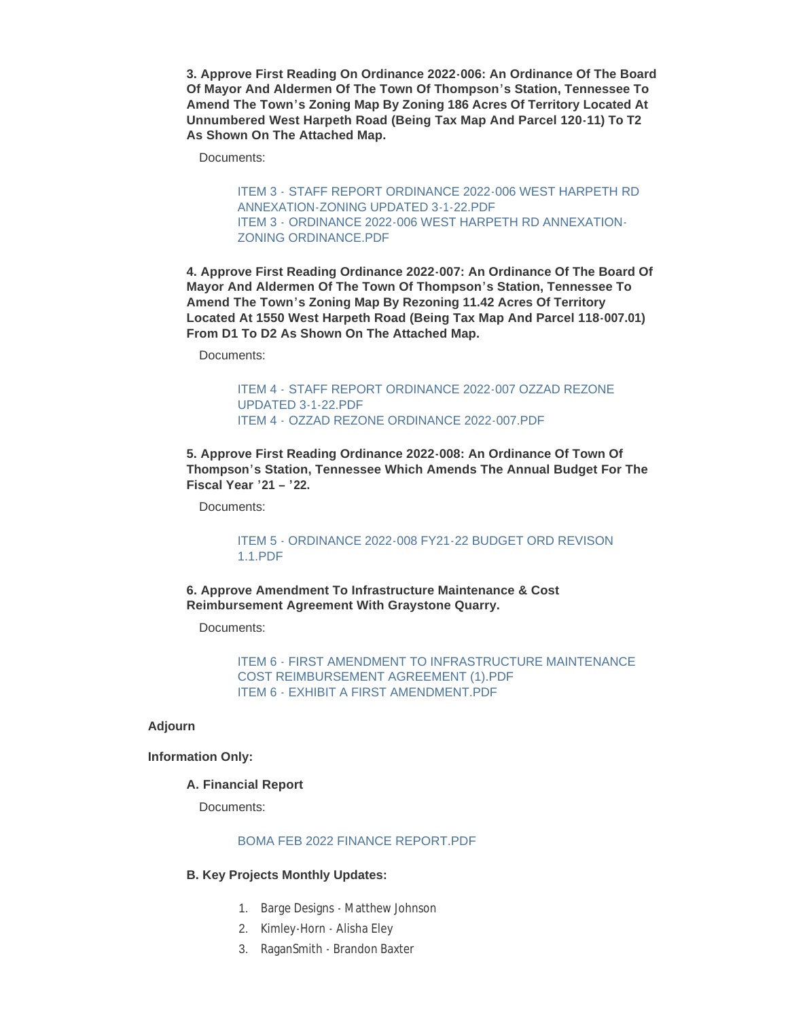**3. Approve First Reading On Ordinance 2022-006: An Ordinance Of The Board Of Mayor And Aldermen Of The Town Of Thompson's Station, Tennessee To Amend The Town's Zoning Map By Zoning 186 Acres Of Territory Located At Unnumbered West Harpeth Road (Being Tax Map And Parcel 120-11) To T2 As Shown On The Attached Map.**

Documents:

ITEM 3 - [STAFF REPORT ORDINANCE 2022-006 WEST HARPETH RD](https://www.thompsons-station.com/AgendaCenter/ViewFile/Item/3681?fileID=15242)  ANNEXATION-ZONING UPDATED 3-1-22.PDF ITEM 3 - [ORDINANCE 2022-006 WEST HARPETH RD ANNEXATION-](https://www.thompsons-station.com/AgendaCenter/ViewFile/Item/3681?fileID=15243)ZONING ORDINANCE.PDF

**4. Approve First Reading Ordinance 2022-007: An Ordinance Of The Board Of Mayor And Aldermen Of The Town Of Thompson's Station, Tennessee To Amend The Town's Zoning Map By Rezoning 11.42 Acres Of Territory Located At 1550 West Harpeth Road (Being Tax Map And Parcel 118-007.01) From D1 To D2 As Shown On The Attached Map.**

Documents:

ITEM 4 - [STAFF REPORT ORDINANCE 2022-007 OZZAD REZONE](https://www.thompsons-station.com/AgendaCenter/ViewFile/Item/3682?fileID=15244)  UPDATED 3-1-22.PDF ITEM 4 - [OZZAD REZONE ORDINANCE 2022-007.PDF](https://www.thompsons-station.com/AgendaCenter/ViewFile/Item/3682?fileID=15245)

**5. Approve First Reading Ordinance 2022-008: An Ordinance Of Town Of Thompson's Station, Tennessee Which Amends The Annual Budget For The Fiscal Year '21 – '22.**

Documents:

[ITEM 5 - ORDINANCE 2022-008 FY21-22 BUDGET ORD REVISON](https://www.thompsons-station.com/AgendaCenter/ViewFile/Item/3683?fileID=15246)  1.1.PDF

**6. Approve Amendment To Infrastructure Maintenance & Cost Reimbursement Agreement With Graystone Quarry.**

Documents:

[ITEM 6 - FIRST AMENDMENT TO INFRASTRUCTURE MAINTENANCE](https://www.thompsons-station.com/AgendaCenter/ViewFile/Item/3684?fileID=15248)  COST REIMBURSEMENT AGREEMENT (1).PDF [ITEM 6 - EXHIBIT A FIRST AMENDMENT.PDF](https://www.thompsons-station.com/AgendaCenter/ViewFile/Item/3684?fileID=15247)

### **Adjourn**

**Information Only:**

## **A. Financial Report**

Documents:

### [BOMA FEB 2022 FINANCE REPORT.PDF](https://www.thompsons-station.com/AgendaCenter/ViewFile/Item/3685?fileID=15254)

# **B. Key Projects Monthly Updates:**

- 1. Barge Designs Matthew Johnson
- 2. Kimley-Horn Alisha Eley
- 3. RaganSmith Brandon Baxter